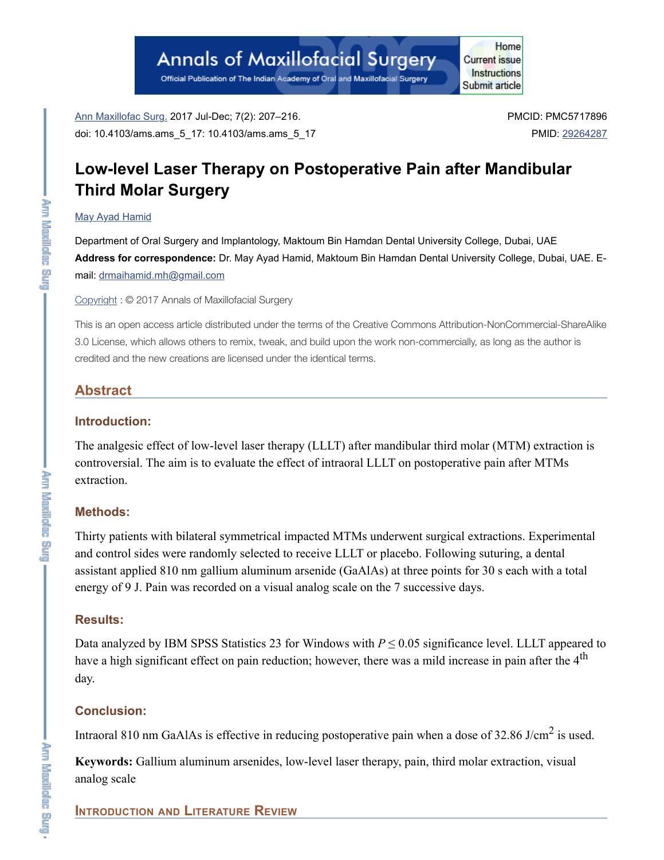# **Annals of Maxillofacial Surgery**

Official Publication of The Indian Academy of Oral and Maxillofacial Surgery

Ann Maxillofac Surg. 2017 Jul-Dec; 7(2): 207–216. doi: 10.4103/ams.ams\_5\_17: 10.4103/ams.ams\_5\_17 PMCID: PMC5717896 PMID: 29264287

Home

**Current issue** Instructions

Submit article

## **Low-level Laser Therapy on Postoperative Pain after Mandibular Third Molar Surgery**

#### May Ayad Hamid

Department of Oral Surgery and Implantology, Maktoum Bin Hamdan Dental University College, Dubai, UAE **Address for correspondence:** Dr. May Ayad Hamid, Maktoum Bin Hamdan Dental University College, Dubai, UAE. Email: drmaihamid.mh@gmail.com

Copyright : © 2017 Annals of Maxillofacial Surgery

This is an open access article distributed under the terms of the Creative Commons Attribution-NonCommercial-ShareAlike 3.0 License, which allows others to remix, tweak, and build upon the work non-commercially, as long as the author is credited and the new creations are licensed under the identical terms.

## **Abstract**

## **Introduction:**

The analgesic effect of low-level laser therapy (LLLT) after mandibular third molar (MTM) extraction is controversial. The aim is to evaluate the effect of intraoral LLLT on postoperative pain after MTMs extraction.

## **Methods:**

Thirty patients with bilateral symmetrical impacted MTMs underwent surgical extractions. Experimental and control sides were randomly selected to receive LLLT or placebo. Following suturing, a dental assistant applied 810 nm gallium aluminum arsenide (GaAlAs) at three points for 30 s each with a total energy of 9 J. Pain was recorded on a visual analog scale on the 7 successive days.

## **Results:**

Data analyzed by IBM SPSS Statistics 23 for Windows with  $P \le 0.05$  significance level. LLLT appeared to have a high significant effect on pain reduction; however, there was a mild increase in pain after the 4<sup>th</sup> day.

## **Conclusion:**

Intraoral 810 nm GaAlAs is effective in reducing postoperative pain when a dose of 32.86 J/cm<sup>2</sup> is used.

**Keywords:** Gallium aluminum arsenides, low-level laser therapy, pain, third molar extraction, visual analog scale

## **INTRODUCTION AND LITERATURE REVIEW**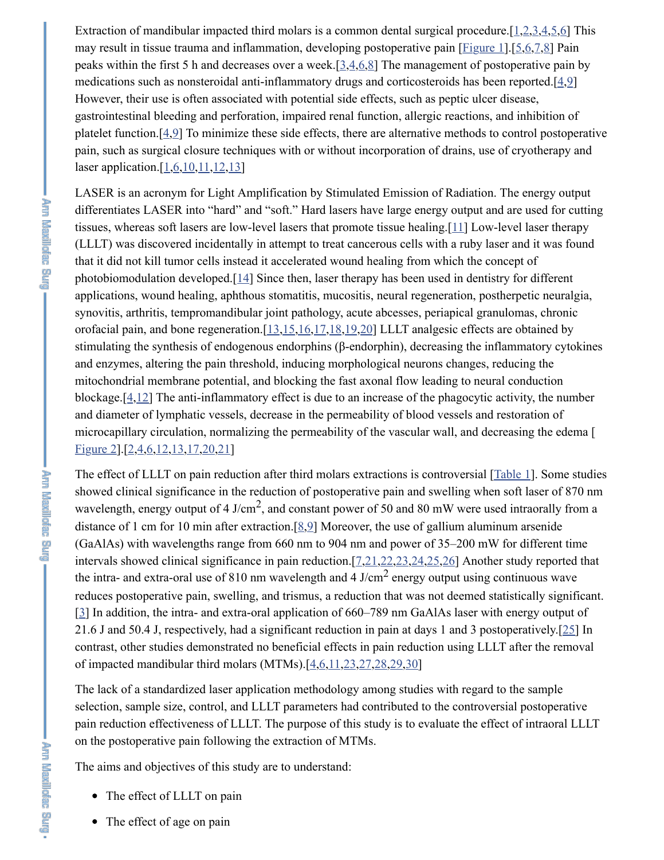Extraction of mandibular impacted third molars is a common dental surgical procedure.[1,2,3,4,5,6] This may result in tissue trauma and inflammation, developing postoperative pain [Figure 1]. [5,6,7,8] Pain peaks within the first 5 h and decreases over a week.[3,4,6,8] The management of postoperative pain by medications such as nonsteroidal anti-inflammatory drugs and corticosteroids has been reported. $[4,9]$ However, their use is often associated with potential side effects, such as peptic ulcer disease, gastrointestinal bleeding and perforation, impaired renal function, allergic reactions, and inhibition of platelet function.[4,9] To minimize these side effects, there are alternative methods to control postoperative pain, such as surgical closure techniques with or without incorporation of drains, use of cryotherapy and laser application. $[1,6,10,11,12,13]$ 

LASER is an acronym for Light Amplification by Stimulated Emission of Radiation. The energy output differentiates LASER into "hard" and "soft." Hard lasers have large energy output and are used for cutting tissues, whereas soft lasers are low-level lasers that promote tissue healing.[11] Low-level laser therapy (LLLT) was discovered incidentally in attempt to treat cancerous cells with a ruby laser and it was found that it did not kill tumor cells instead it accelerated wound healing from which the concept of photobiomodulation developed.[14] Since then, laser therapy has been used in dentistry for different applications, wound healing, aphthous stomatitis, mucositis, neural regeneration, postherpetic neuralgia, synovitis, arthritis, tempromandibular joint pathology, acute abcesses, periapical granulomas, chronic orofacial pain, and bone regeneration. $[13,15,16,17,18,19,20]$  LLLT analgesic effects are obtained by stimulating the synthesis of endogenous endorphins (β-endorphin), decreasing the inflammatory cytokines and enzymes, altering the pain threshold, inducing morphological neurons changes, reducing the mitochondrial membrane potential, and blocking the fast axonal flow leading to neural conduction blockage.[4,12] The anti-inflammatory effect is due to an increase of the phagocytic activity, the number and diameter of lymphatic vessels, decrease in the permeability of blood vessels and restoration of microcapillary circulation, normalizing the permeability of the vascular wall, and decreasing the edema [ Figure 2].[2,4,6,12,13,17,20,21]

The effect of LLLT on pain reduction after third molars extractions is controversial [Table 1]. Some studies showed clinical significance in the reduction of postoperative pain and swelling when soft laser of 870 nm wavelength, energy output of 4 J/cm<sup>2</sup>, and constant power of 50 and 80 mW were used intraorally from a distance of 1 cm for 10 min after extraction.[8,9] Moreover, the use of gallium aluminum arsenide (GaAlAs) with wavelengths range from 660 nm to 904 nm and power of 35–200 mW for different time intervals showed clinical significance in pain reduction.[7,21,22,23,24,25,26] Another study reported that the intra- and extra-oral use of 810 nm wavelength and 4 J/cm<sup>2</sup> energy output using continuous wave reduces postoperative pain, swelling, and trismus, a reduction that was not deemed statistically significant. [3] In addition, the intra- and extra-oral application of 660–789 nm GaAlAs laser with energy output of 21.6 J and 50.4 J, respectively, had a significant reduction in pain at days 1 and 3 postoperatively.[25] In contrast, other studies demonstrated no beneficial effects in pain reduction using LLLT after the removal of impacted mandibular third molars (MTMs).[4,6,11,23,27,28,29,30]

The lack of a standardized laser application methodology among studies with regard to the sample selection, sample size, control, and LLLT parameters had contributed to the controversial postoperative pain reduction effectiveness of LLLT. The purpose of this study is to evaluate the effect of intraoral LLLT on the postoperative pain following the extraction of MTMs.

The aims and objectives of this study are to understand:

- The effect of LLLT on pain
- The effect of age on pain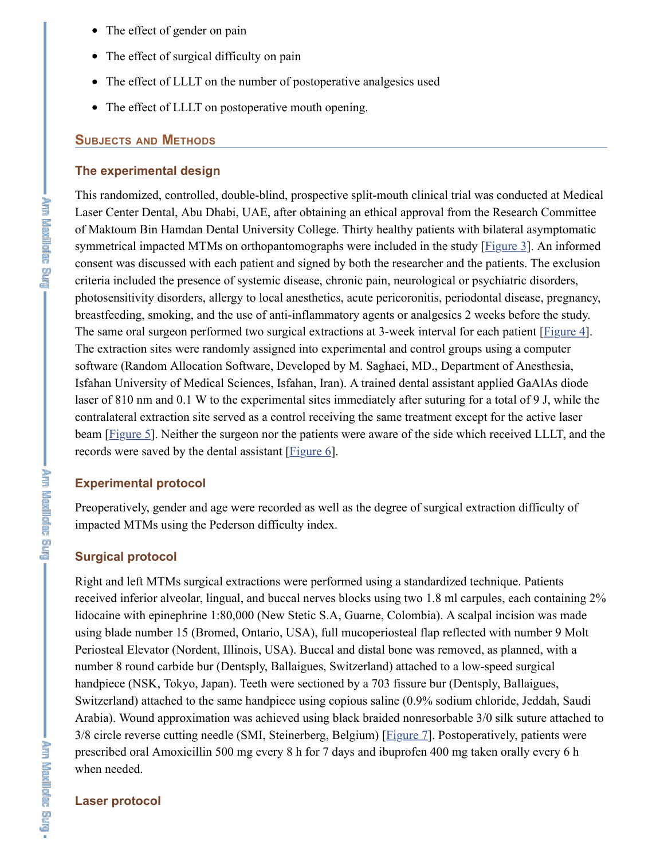- The effect of gender on pain
- The effect of surgical difficulty on pain
- The effect of LLLT on the number of postoperative analgesics used
- The effect of LLLT on postoperative mouth opening.

#### **SUBJECTS AND METHODS**

#### **The experimental design**

This randomized, controlled, double-blind, prospective split-mouth clinical trial was conducted at Medical Laser Center Dental, Abu Dhabi, UAE, after obtaining an ethical approval from the Research Committee of Maktoum Bin Hamdan Dental University College. Thirty healthy patients with bilateral asymptomatic symmetrical impacted MTMs on orthopantomographs were included in the study [Figure 3]. An informed consent was discussed with each patient and signed by both the researcher and the patients. The exclusion criteria included the presence of systemic disease, chronic pain, neurological or psychiatric disorders, photosensitivity disorders, allergy to local anesthetics, acute pericoronitis, periodontal disease, pregnancy, breastfeeding, smoking, and the use of anti-inflammatory agents or analgesics 2 weeks before the study. The same oral surgeon performed two surgical extractions at 3-week interval for each patient [Figure 4]. The extraction sites were randomly assigned into experimental and control groups using a computer software (Random Allocation Software, Developed by M. Saghaei, MD., Department of Anesthesia, Isfahan University of Medical Sciences, Isfahan, Iran). A trained dental assistant applied GaAlAs diode laser of 810 nm and 0.1 W to the experimental sites immediately after suturing for a total of 9 J, while the contralateral extraction site served as a control receiving the same treatment except for the active laser beam [Figure 5]. Neither the surgeon nor the patients were aware of the side which received LLLT, and the records were saved by the dental assistant [Figure 6].

#### **Experimental protocol**

Preoperatively, gender and age were recorded as well as the degree of surgical extraction difficulty of impacted MTMs using the Pederson difficulty index.

#### **Surgical protocol**

Right and left MTMs surgical extractions were performed using a standardized technique. Patients received inferior alveolar, lingual, and buccal nerves blocks using two 1.8 ml carpules, each containing 2% lidocaine with epinephrine 1:80,000 (New Stetic S.A, Guarne, Colombia). A scalpal incision was made using blade number 15 (Bromed, Ontario, USA), full mucoperiosteal flap reflected with number 9 Molt Periosteal Elevator (Nordent, Illinois, USA). Buccal and distal bone was removed, as planned, with a number 8 round carbide bur (Dentsply, Ballaigues, Switzerland) attached to a low-speed surgical handpiece (NSK, Tokyo, Japan). Teeth were sectioned by a 703 fissure bur (Dentsply, Ballaigues, Switzerland) attached to the same handpiece using copious saline (0.9% sodium chloride, Jeddah, Saudi Arabia). Wound approximation was achieved using black braided nonresorbable 3/0 silk suture attached to 3/8 circle reverse cutting needle (SMI, Steinerberg, Belgium) [Figure 7]. Postoperatively, patients were prescribed oral Amoxicillin 500 mg every 8 h for 7 days and ibuprofen 400 mg taken orally every 6 h when needed.

**Lery Results and Principal** 

#### **Laser protocol**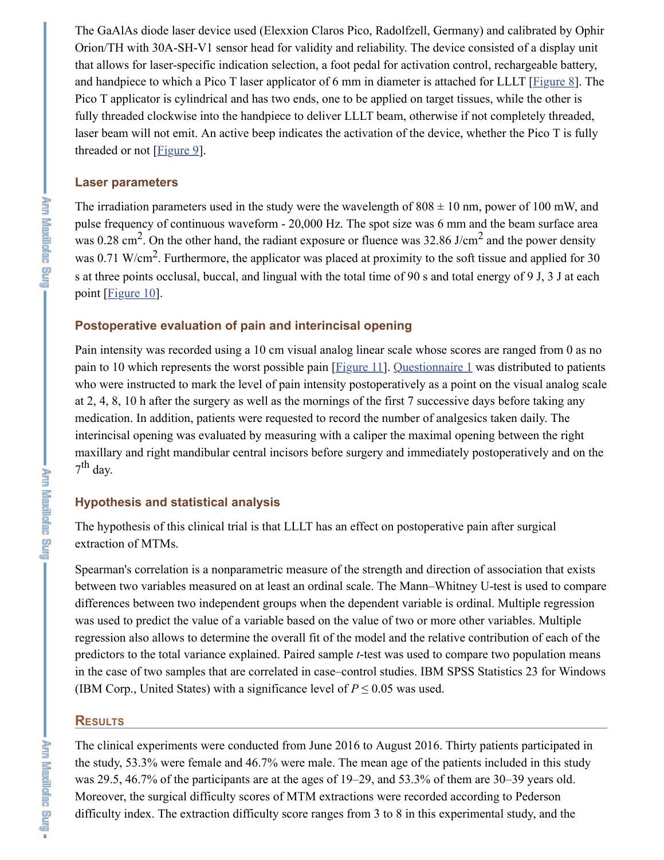The GaAlAs diode laser device used (Elexxion Claros Pico, Radolfzell, Germany) and calibrated by Ophir Orion/TH with 30A-SH-V1 sensor head for validity and reliability. The device consisted of a display unit that allows for laser-specific indication selection, a foot pedal for activation control, rechargeable battery, and handpiece to which a Pico T laser applicator of 6 mm in diameter is attached for LLLT [Figure 8]. The Pico T applicator is cylindrical and has two ends, one to be applied on target tissues, while the other is fully threaded clockwise into the handpiece to deliver LLLT beam, otherwise if not completely threaded, laser beam will not emit. An active beep indicates the activation of the device, whether the Pico T is fully threaded or not  $[Figure 9]$ .

#### **Laser parameters**

The irradiation parameters used in the study were the wavelength of  $808 \pm 10$  nm, power of 100 mW, and pulse frequency of continuous waveform - 20,000 Hz. The spot size was 6 mm and the beam surface area was 0.28 cm<sup>2</sup>. On the other hand, the radiant exposure or fluence was 32.86 J/cm<sup>2</sup> and the power density was 0.71 W/cm<sup>2</sup>. Furthermore, the applicator was placed at proximity to the soft tissue and applied for 30 s at three points occlusal, buccal, and lingual with the total time of 90 s and total energy of 9 J, 3 J at each point [*Figure 10*].

#### **Postoperative evaluation of pain and interincisal opening**

Pain intensity was recorded using a 10 cm visual analog linear scale whose scores are ranged from 0 as no pain to 10 which represents the worst possible pain [Figure 11]. Questionnaire 1 was distributed to patients who were instructed to mark the level of pain intensity postoperatively as a point on the visual analog scale at 2, 4, 8, 10 h after the surgery as well as the mornings of the first 7 successive days before taking any medication. In addition, patients were requested to record the number of analgesics taken daily. The interincisal opening was evaluated by measuring with a caliper the maximal opening between the right maxillary and right mandibular central incisors before surgery and immediately postoperatively and on the  $7^{\text{th}}$  day.

#### **Hypothesis and statistical analysis**

The hypothesis of this clinical trial is that LLLT has an effect on postoperative pain after surgical extraction of MTMs.

Spearman's correlation is a nonparametric measure of the strength and direction of association that exists between two variables measured on at least an ordinal scale. The Mann–Whitney U-test is used to compare differences between two independent groups when the dependent variable is ordinal. Multiple regression was used to predict the value of a variable based on the value of two or more other variables. Multiple regression also allows to determine the overall fit of the model and the relative contribution of each of the predictors to the total variance explained. Paired sample *t*-test was used to compare two population means in the case of two samples that are correlated in case–control studies. IBM SPSS Statistics 23 for Windows (IBM Corp., United States) with a significance level of  $P \le 0.05$  was used.

#### **RESULTS**

The clinical experiments were conducted from June 2016 to August 2016. Thirty patients participated in the study, 53.3% were female and 46.7% were male. The mean age of the patients included in this study was 29.5, 46.7% of the participants are at the ages of 19–29, and 53.3% of them are 30–39 years old. Moreover, the surgical difficulty scores of MTM extractions were recorded according to Pederson difficulty index. The extraction difficulty score ranges from 3 to 8 in this experimental study, and the

. And Mexillofec and -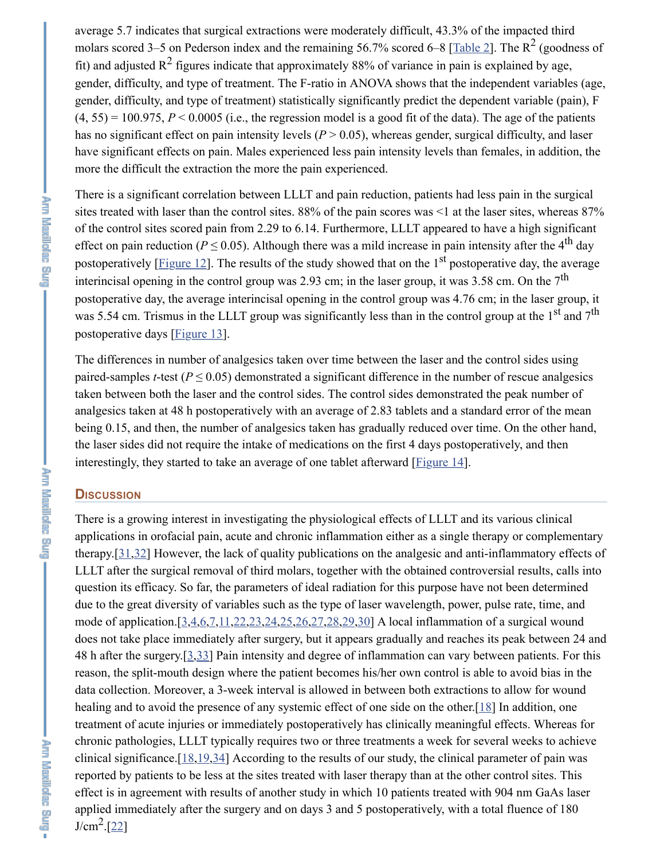average 5.7 indicates that surgical extractions were moderately difficult, 43.3% of the impacted third molars scored 3–5 on Pederson index and the remaining 56.7% scored 6–8 [Table 2]. The  $R^2$  (goodness of fit) and adjusted  $R^2$  figures indicate that approximately 88% of variance in pain is explained by age, gender, difficulty, and type of treatment. The F-ratio in ANOVA shows that the independent variables (age, gender, difficulty, and type of treatment) statistically significantly predict the dependent variable (pain), F  $(4, 55) = 100.975$ ,  $P \le 0.0005$  (i.e., the regression model is a good fit of the data). The age of the patients has no significant effect on pain intensity levels  $(P > 0.05)$ , whereas gender, surgical difficulty, and laser have significant effects on pain. Males experienced less pain intensity levels than females, in addition, the more the difficult the extraction the more the pain experienced.

There is a significant correlation between LLLT and pain reduction, patients had less pain in the surgical sites treated with laser than the control sites. 88% of the pain scores was <1 at the laser sites, whereas 87% of the control sites scored pain from 2.29 to 6.14. Furthermore, LLLT appeared to have a high significant effect on pain reduction ( $P \le 0.05$ ). Although there was a mild increase in pain intensity after the 4<sup>th</sup> day postoperatively [*Figure 12*]. The results of the study showed that on the 1<sup>st</sup> postoperative day, the average interincisal opening in the control group was 2.93 cm; in the laser group, it was 3.58 cm. On the  $7<sup>th</sup>$ postoperative day, the average interincisal opening in the control group was 4.76 cm; in the laser group, it was 5.54 cm. Trismus in the LLLT group was significantly less than in the control group at the 1<sup>st</sup> and 7<sup>th</sup> postoperative days [Figure 13].

The differences in number of analgesics taken over time between the laser and the control sides using paired-samples *t*-test ( $P \le 0.05$ ) demonstrated a significant difference in the number of rescue analgesics taken between both the laser and the control sides. The control sides demonstrated the peak number of analgesics taken at 48 h postoperatively with an average of 2.83 tablets and a standard error of the mean being 0.15, and then, the number of analgesics taken has gradually reduced over time. On the other hand, the laser sides did not require the intake of medications on the first 4 days postoperatively, and then interestingly, they started to take an average of one tablet afterward [Figure 14].

#### **DISCUSSION**

There is a growing interest in investigating the physiological effects of LLLT and its various clinical applications in orofacial pain, acute and chronic inflammation either as a single therapy or complementary therapy.[31,32] However, the lack of quality publications on the analgesic and anti-inflammatory effects of LLLT after the surgical removal of third molars, together with the obtained controversial results, calls into question its efficacy. So far, the parameters of ideal radiation for this purpose have not been determined due to the great diversity of variables such as the type of laser wavelength, power, pulse rate, time, and mode of application.[3,4,6,7,11,22,23,24,25,26,27,28,29,30] A local inflammation of a surgical wound does not take place immediately after surgery, but it appears gradually and reaches its peak between 24 and 48 h after the surgery.[3,33] Pain intensity and degree of inflammation can vary between patients. For this reason, the split-mouth design where the patient becomes his/her own control is able to avoid bias in the data collection. Moreover, a 3-week interval is allowed in between both extractions to allow for wound healing and to avoid the presence of any systemic effect of one side on the other.[18] In addition, one treatment of acute injuries or immediately postoperatively has clinically meaningful effects. Whereas for chronic pathologies, LLLT typically requires two or three treatments a week for several weeks to achieve clinical significance.[18,19,34] According to the results of our study, the clinical parameter of pain was reported by patients to be less at the sites treated with laser therapy than at the other control sites. This effect is in agreement with results of another study in which 10 patients treated with 904 nm GaAs laser applied immediately after the surgery and on days 3 and 5 postoperatively, with a total fluence of 180  $J/cm<sup>2</sup>.[22]$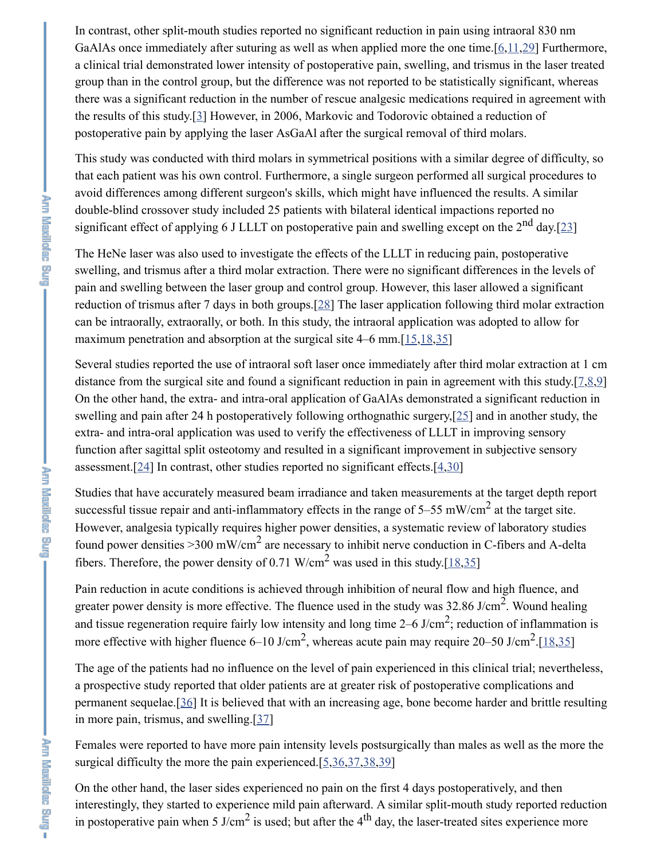In contrast, other split-mouth studies reported no significant reduction in pain using intraoral 830 nm GaAlAs once immediately after suturing as well as when applied more the one time.[6,11,29] Furthermore, a clinical trial demonstrated lower intensity of postoperative pain, swelling, and trismus in the laser treated group than in the control group, but the difference was not reported to be statistically significant, whereas there was a significant reduction in the number of rescue analgesic medications required in agreement with the results of this study.[3] However, in 2006, Markovic and Todorovic obtained a reduction of postoperative pain by applying the laser AsGaAl after the surgical removal of third molars.

This study was conducted with third molars in symmetrical positions with a similar degree of difficulty, so that each patient was his own control. Furthermore, a single surgeon performed all surgical procedures to avoid differences among different surgeon's skills, which might have influenced the results. A similar double-blind crossover study included 25 patients with bilateral identical impactions reported no significant effect of applying 6 J LLLT on postoperative pain and swelling except on the 2<sup>nd</sup> day.[23]

The HeNe laser was also used to investigate the effects of the LLLT in reducing pain, postoperative swelling, and trismus after a third molar extraction. There were no significant differences in the levels of pain and swelling between the laser group and control group. However, this laser allowed a significant reduction of trismus after 7 days in both groups.[28] The laser application following third molar extraction can be intraorally, extraorally, or both. In this study, the intraoral application was adopted to allow for maximum penetration and absorption at the surgical site 4–6 mm.[15,18,35]

Several studies reported the use of intraoral soft laser once immediately after third molar extraction at 1 cm distance from the surgical site and found a significant reduction in pain in agreement with this study.[7,8,9] On the other hand, the extra- and intra-oral application of GaAlAs demonstrated a significant reduction in swelling and pain after 24 h postoperatively following orthognathic surgery,[25] and in another study, the extra- and intra-oral application was used to verify the effectiveness of LLLT in improving sensory function after sagittal split osteotomy and resulted in a significant improvement in subjective sensory assessment.<sup>[24]</sup> In contrast, other studies reported no significant effects.<sup>[4,30]</sup>

Studies that have accurately measured beam irradiance and taken measurements at the target depth report successful tissue repair and anti-inflammatory effects in the range of  $5-55$  mW/cm<sup>2</sup> at the target site. However, analgesia typically requires higher power densities, a systematic review of laboratory studies found power densities >300 mW/cm<sup>2</sup> are necessary to inhibit nerve conduction in C-fibers and A-delta fibers. Therefore, the power density of 0.71 W/cm<sup>2</sup> was used in this study.[18,35]

Pain reduction in acute conditions is achieved through inhibition of neural flow and high fluence, and greater power density is more effective. The fluence used in the study was  $32.86$  J/cm<sup>2</sup>. Wound healing and tissue regeneration require fairly low intensity and long time  $2-6$  J/cm<sup>2</sup>; reduction of inflammation is more effective with higher fluence 6–10 J/cm<sup>2</sup>, whereas acute pain may require 20–50 J/cm<sup>2</sup>.[18,35]

The age of the patients had no influence on the level of pain experienced in this clinical trial; nevertheless, a prospective study reported that older patients are at greater risk of postoperative complications and permanent sequelae.[36] It is believed that with an increasing age, bone become harder and brittle resulting in more pain, trismus, and swelling.[37]

Females were reported to have more pain intensity levels postsurgically than males as well as the more the surgical difficulty the more the pain experienced. $[5,36,37,38,39]$ 

On the other hand, the laser sides experienced no pain on the first 4 days postoperatively, and then interestingly, they started to experience mild pain afterward. A similar split-mouth study reported reduction in postoperative pain when 5 J/cm<sup>2</sup> is used; but after the 4<sup>th</sup> day, the laser-treated sites experience more

**Der Engineer und**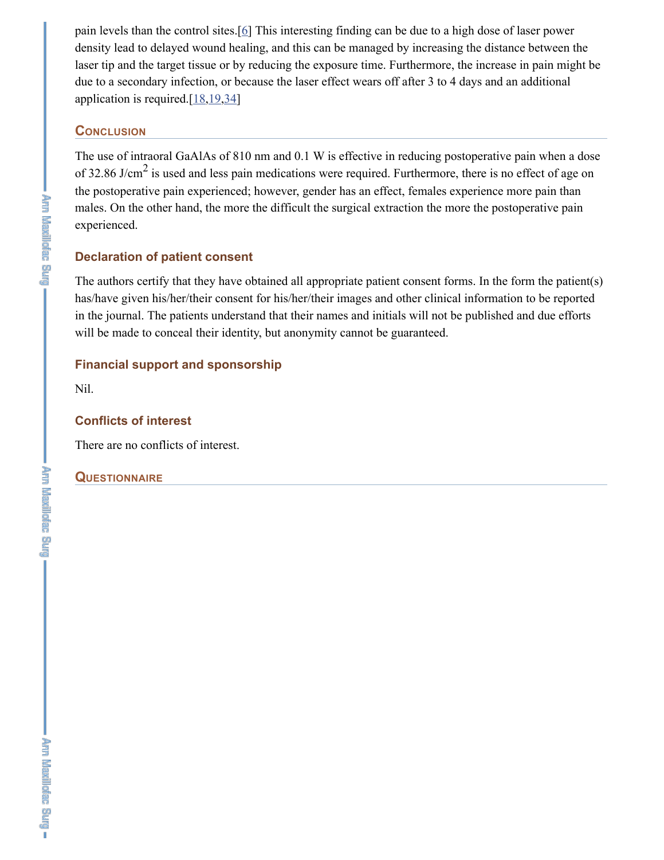pain levels than the control sites.[6] This interesting finding can be due to a high dose of laser power density lead to delayed wound healing, and this can be managed by increasing the distance between the laser tip and the target tissue or by reducing the exposure time. Furthermore, the increase in pain might be due to a secondary infection, or because the laser effect wears off after 3 to 4 days and an additional application is required. $[18, 19, 34]$ 

#### **CONCLUSION**

The use of intraoral GaAlAs of 810 nm and 0.1 W is effective in reducing postoperative pain when a dose of 32.86 J/cm<sup>2</sup> is used and less pain medications were required. Furthermore, there is no effect of age on the postoperative pain experienced; however, gender has an effect, females experience more pain than males. On the other hand, the more the difficult the surgical extraction the more the postoperative pain experienced.

#### **Declaration of patient consent**

The authors certify that they have obtained all appropriate patient consent forms. In the form the patient(s) has/have given his/her/their consent for his/her/their images and other clinical information to be reported in the journal. The patients understand that their names and initials will not be published and due efforts will be made to conceal their identity, but anonymity cannot be guaranteed.

#### **Financial support and sponsorship**

Nil.

## **Conflicts of interest**

There are no conflicts of interest.

#### **QUESTIONNAIRE**

**The Mexilloniac Burg**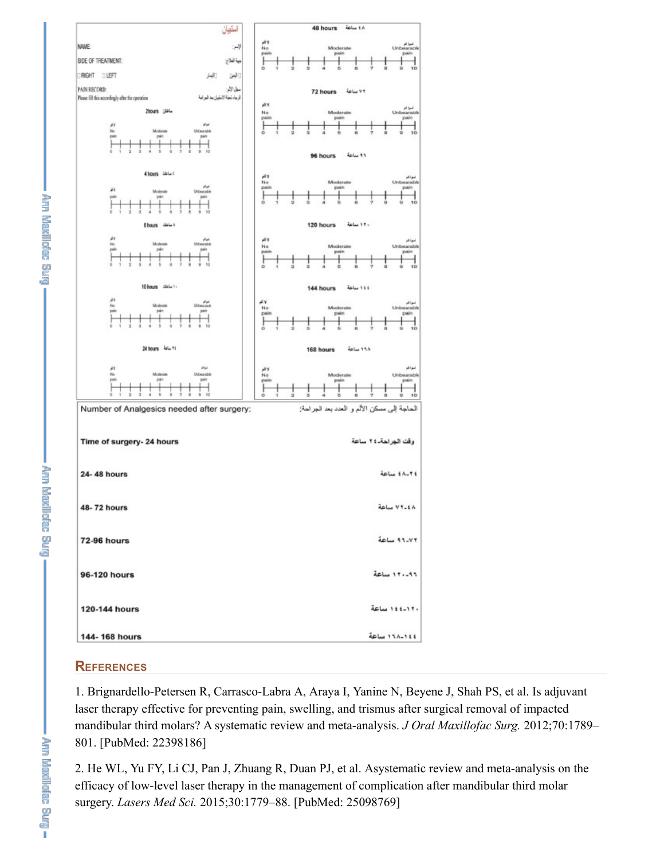

#### **REFERENCES**

1. Brignardello-Petersen R, Carrasco-Labra A, Araya I, Yanine N, Beyene J, Shah PS, et al. Is adjuvant laser therapy effective for preventing pain, swelling, and trismus after surgical removal of impacted mandibular third molars? A systematic review and meta-analysis. *J Oral Maxillofac Surg.* 2012;70:1789– 801. [PubMed: 22398186]

2. He WL, Yu FY, Li CJ, Pan J, Zhuang R, Duan PJ, et al. Asystematic review and meta-analysis on the efficacy of low-level laser therapy in the management of complication after mandibular third molar surgery. *Lasers Med Sci.* 2015;30:1779–88. [PubMed: 25098769]

**The Assement and** 

the manipulate and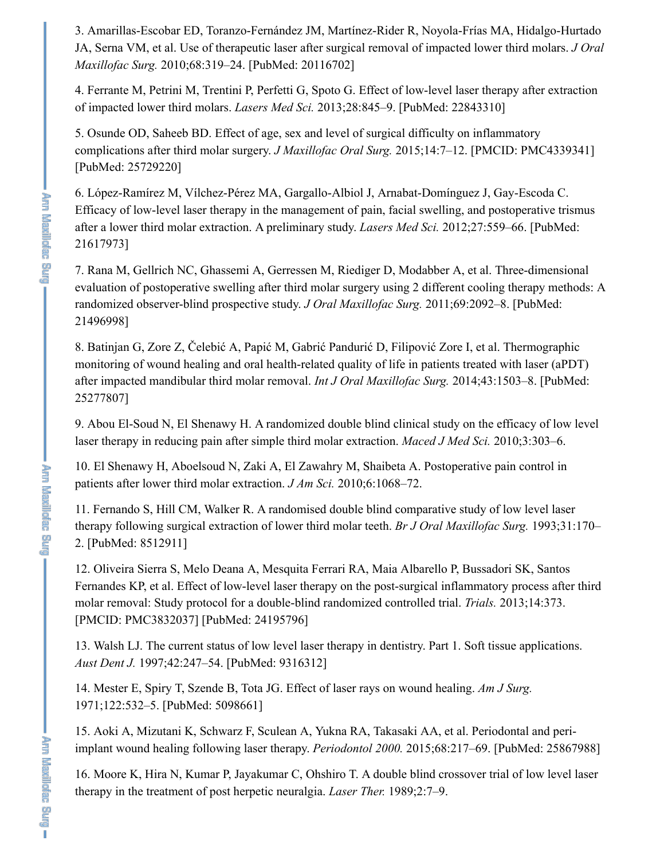3. Amarillas-Escobar ED, Toranzo-Fernández JM, Martínez-Rider R, Noyola-Frías MA, Hidalgo-Hurtado JA, Serna VM, et al. Use of therapeutic laser after surgical removal of impacted lower third molars. *J Oral Maxillofac Surg.* 2010;68:319–24. [PubMed: 20116702]

4. Ferrante M, Petrini M, Trentini P, Perfetti G, Spoto G. Effect of low-level laser therapy after extraction of impacted lower third molars. *Lasers Med Sci.* 2013;28:845–9. [PubMed: 22843310]

5. Osunde OD, Saheeb BD. Effect of age, sex and level of surgical difficulty on inflammatory complications after third molar surgery. *J Maxillofac Oral Surg.* 2015;14:7–12. [PMCID: PMC4339341] [PubMed: 25729220]

6. López-Ramírez M, Vílchez-Pérez MA, Gargallo-Albiol J, Arnabat-Domínguez J, Gay-Escoda C. Efficacy of low-level laser therapy in the management of pain, facial swelling, and postoperative trismus after a lower third molar extraction. A preliminary study. *Lasers Med Sci.* 2012;27:559–66. [PubMed: 21617973]

7. Rana M, Gellrich NC, Ghassemi A, Gerressen M, Riediger D, Modabber A, et al. Three-dimensional evaluation of postoperative swelling after third molar surgery using 2 different cooling therapy methods: A randomized observer-blind prospective study. *J Oral Maxillofac Surg.* 2011;69:2092–8. [PubMed: 21496998]

8. Batinjan G, Zore Z, Čelebić A, Papić M, Gabrić Pandurić D, Filipović Zore I, et al. Thermographic monitoring of wound healing and oral health-related quality of life in patients treated with laser (aPDT) after impacted mandibular third molar removal. *Int J Oral Maxillofac Surg.* 2014;43:1503–8. [PubMed: 25277807]

9. Abou El-Soud N, El Shenawy H. A randomized double blind clinical study on the efficacy of low level laser therapy in reducing pain after simple third molar extraction. *Maced J Med Sci.* 2010;3:303–6.

10. El Shenawy H, Aboelsoud N, Zaki A, El Zawahry M, Shaibeta A. Postoperative pain control in patients after lower third molar extraction. *J Am Sci.* 2010;6:1068–72.

11. Fernando S, Hill CM, Walker R. A randomised double blind comparative study of low level laser therapy following surgical extraction of lower third molar teeth. *Br J Oral Maxillofac Surg.* 1993;31:170– 2. [PubMed: 8512911]

12. Oliveira Sierra S, Melo Deana A, Mesquita Ferrari RA, Maia Albarello P, Bussadori SK, Santos Fernandes KP, et al. Effect of low-level laser therapy on the post-surgical inflammatory process after third molar removal: Study protocol for a double-blind randomized controlled trial. *Trials.* 2013;14:373. [PMCID: PMC3832037] [PubMed: 24195796]

13. Walsh LJ. The current status of low level laser therapy in dentistry. Part 1. Soft tissue applications. *Aust Dent J.* 1997;42:247–54. [PubMed: 9316312]

14. Mester E, Spiry T, Szende B, Tota JG. Effect of laser rays on wound healing. *Am J Surg.* 1971;122:532–5. [PubMed: 5098661]

15. Aoki A, Mizutani K, Schwarz F, Sculean A, Yukna RA, Takasaki AA, et al. Periodontal and periimplant wound healing following laser therapy. *Periodontol 2000.* 2015;68:217–69. [PubMed: 25867988]

16. Moore K, Hira N, Kumar P, Jayakumar C, Ohshiro T. A double blind crossover trial of low level laser therapy in the treatment of post herpetic neuralgia. *Laser Ther.* 1989;2:7–9.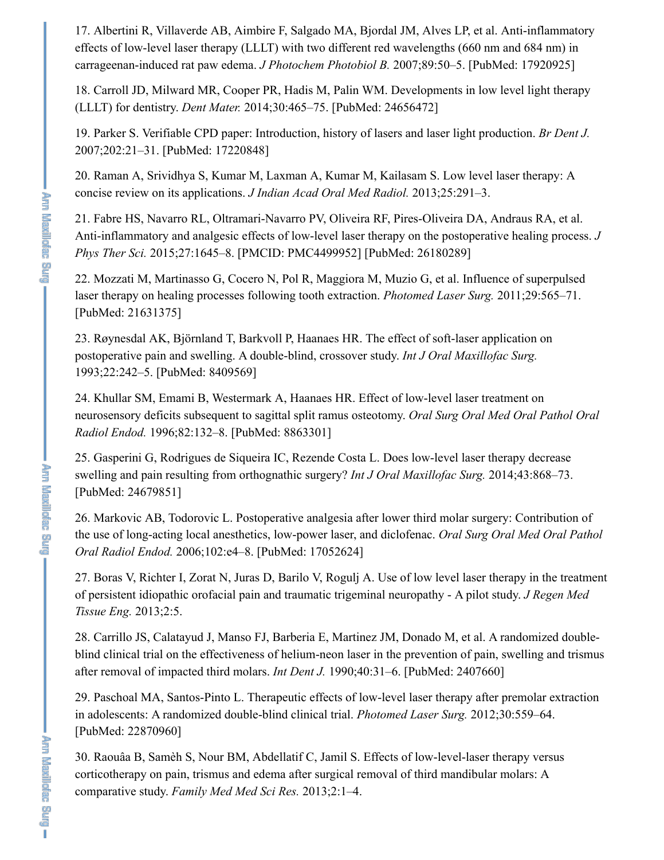17. Albertini R, Villaverde AB, Aimbire F, Salgado MA, Bjordal JM, Alves LP, et al. Anti-inflammatory effects of low-level laser therapy (LLLT) with two different red wavelengths (660 nm and 684 nm) in carrageenan-induced rat paw edema. *J Photochem Photobiol B.* 2007;89:50–5. [PubMed: 17920925]

18. Carroll JD, Milward MR, Cooper PR, Hadis M, Palin WM. Developments in low level light therapy (LLLT) for dentistry. *Dent Mater.* 2014;30:465–75. [PubMed: 24656472]

19. Parker S. Verifiable CPD paper: Introduction, history of lasers and laser light production. *Br Dent J.* 2007;202:21–31. [PubMed: 17220848]

20. Raman A, Srividhya S, Kumar M, Laxman A, Kumar M, Kailasam S. Low level laser therapy: A concise review on its applications. *J Indian Acad Oral Med Radiol.* 2013;25:291–3.

21. Fabre HS, Navarro RL, Oltramari-Navarro PV, Oliveira RF, Pires-Oliveira DA, Andraus RA, et al. Anti-inflammatory and analgesic effects of low-level laser therapy on the postoperative healing process. *J Phys Ther Sci.* 2015;27:1645–8. [PMCID: PMC4499952] [PubMed: 26180289]

22. Mozzati M, Martinasso G, Cocero N, Pol R, Maggiora M, Muzio G, et al. Influence of superpulsed laser therapy on healing processes following tooth extraction. *Photomed Laser Surg.* 2011;29:565–71. [PubMed: 21631375]

23. Røynesdal AK, Björnland T, Barkvoll P, Haanaes HR. The effect of soft-laser application on postoperative pain and swelling. A double-blind, crossover study. *Int J Oral Maxillofac Surg.* 1993;22:242–5. [PubMed: 8409569]

24. Khullar SM, Emami B, Westermark A, Haanaes HR. Effect of low-level laser treatment on neurosensory deficits subsequent to sagittal split ramus osteotomy. *Oral Surg Oral Med Oral Pathol Oral Radiol Endod.* 1996;82:132–8. [PubMed: 8863301]

25. Gasperini G, Rodrigues de Siqueira IC, Rezende Costa L. Does low-level laser therapy decrease swelling and pain resulting from orthognathic surgery? *Int J Oral Maxillofac Surg.* 2014;43:868–73. [PubMed: 24679851]

26. Markovic AB, Todorovic L. Postoperative analgesia after lower third molar surgery: Contribution of the use of long-acting local anesthetics, low-power laser, and diclofenac. *Oral Surg Oral Med Oral Pathol Oral Radiol Endod.* 2006;102:e4–8. [PubMed: 17052624]

27. Boras V, Richter I, Zorat N, Juras D, Barilo V, Rogulj A. Use of low level laser therapy in the treatment of persistent idiopathic orofacial pain and traumatic trigeminal neuropathy - A pilot study. *J Regen Med Tissue Eng.* 2013;2:5.

28. Carrillo JS, Calatayud J, Manso FJ, Barberia E, Martinez JM, Donado M, et al. A randomized doubleblind clinical trial on the effectiveness of helium-neon laser in the prevention of pain, swelling and trismus after removal of impacted third molars. *Int Dent J.* 1990;40:31–6. [PubMed: 2407660]

29. Paschoal MA, Santos-Pinto L. Therapeutic effects of low-level laser therapy after premolar extraction in adolescents: A randomized double-blind clinical trial. *Photomed Laser Surg.* 2012;30:559–64. [PubMed: 22870960]

30. Raouâa B, Samèh S, Nour BM, Abdellatif C, Jamil S. Effects of low-level-laser therapy versus corticotherapy on pain, trismus and edema after surgical removal of third mandibular molars: A comparative study. *Family Med Med Sci Res.* 2013;2:1–4.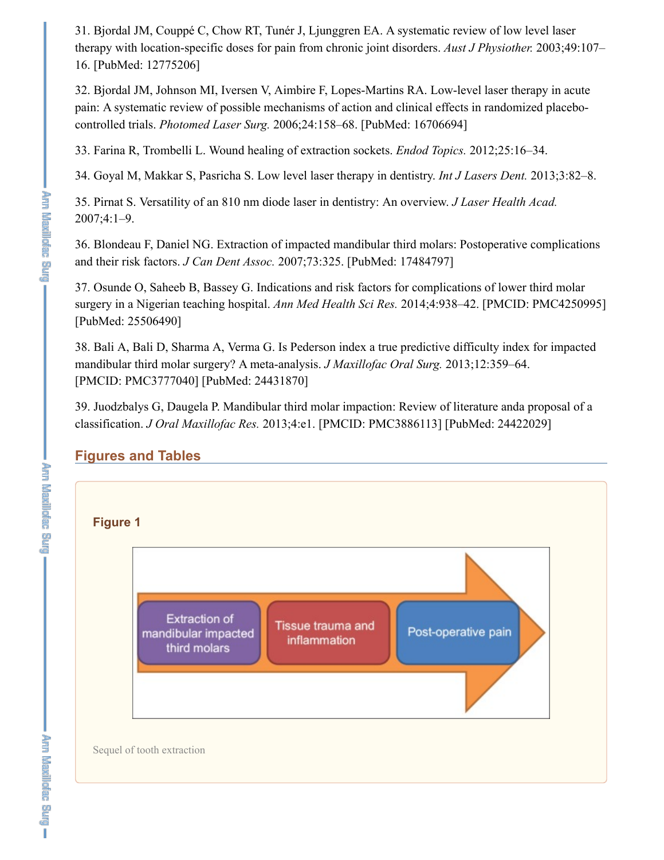31. Bjordal JM, Couppé C, Chow RT, Tunér J, Ljunggren EA. A systematic review of low level laser therapy with location-specific doses for pain from chronic joint disorders. *Aust J Physiother.* 2003;49:107– 16. [PubMed: 12775206]

32. Bjordal JM, Johnson MI, Iversen V, Aimbire F, Lopes-Martins RA. Low-level laser therapy in acute pain: A systematic review of possible mechanisms of action and clinical effects in randomized placebocontrolled trials. *Photomed Laser Surg.* 2006;24:158–68. [PubMed: 16706694]

33. Farina R, Trombelli L. Wound healing of extraction sockets. *Endod Topics.* 2012;25:16–34.

34. Goyal M, Makkar S, Pasricha S. Low level laser therapy in dentistry. *Int J Lasers Dent.* 2013;3:82–8.

35. Pirnat S. Versatility of an 810 nm diode laser in dentistry: An overview. *J Laser Health Acad.* 2007;4:1–9.

36. Blondeau F, Daniel NG. Extraction of impacted mandibular third molars: Postoperative complications and their risk factors. *J Can Dent Assoc.* 2007;73:325. [PubMed: 17484797]

37. Osunde O, Saheeb B, Bassey G. Indications and risk factors for complications of lower third molar surgery in a Nigerian teaching hospital. *Ann Med Health Sci Res.* 2014;4:938–42. [PMCID: PMC4250995] [PubMed: 25506490]

38. Bali A, Bali D, Sharma A, Verma G. Is Pederson index a true predictive difficulty index for impacted mandibular third molar surgery? A meta-analysis. *J Maxillofac Oral Surg.* 2013;12:359–64. [PMCID: PMC3777040] [PubMed: 24431870]

39. Juodzbalys G, Daugela P. Mandibular third molar impaction: Review of literature anda proposal of a classification. *J Oral Maxillofac Res.* 2013;4:e1. [PMCID: PMC3886113] [PubMed: 24422029]

## **Figures and Tables**



ş

**The Mexileties Bull**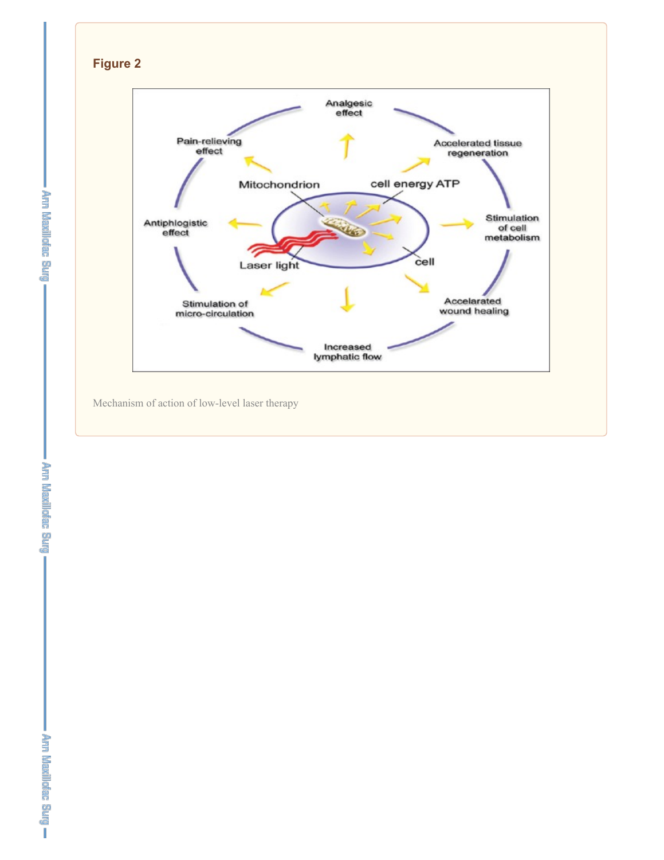



Mechanism of action of low-level laser therapy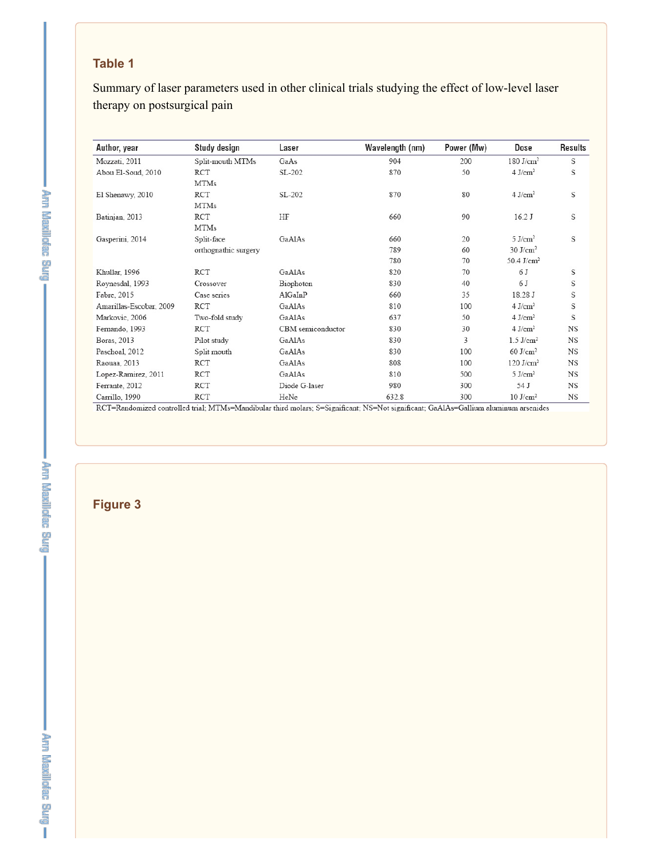## **Table 1**

Summary of laser parameters used in other clinical trials studying the effect of low-level laser therapy on postsurgical pain

| Author, year            | Study design         | Laser             | Wavelength (nm) | Power (Mw) | Dose                     | Results   |
|-------------------------|----------------------|-------------------|-----------------|------------|--------------------------|-----------|
| Mozzati, 2011           | Split-mouth MTMs     | GaAs              | 904             | 200        | $180$ J/cm <sup>2</sup>  | S         |
| Abou El-Soud, 2010      | RCT                  | SL-202            | 870             | 50         | $4$ J/cm <sup>2</sup>    | S         |
|                         | <b>MTMs</b>          |                   |                 |            |                          |           |
| El Shenawy, 2010        | RCT                  | SL-202            | 870             | 80         | $4$ J/cm <sup>2</sup>    | S         |
|                         | <b>MTMs</b>          |                   |                 |            |                          |           |
| Batinjan, 2013          | RCT                  | HF                | 660             | 90         | 16.2 J                   | S         |
|                         | <b>MTMs</b>          |                   |                 |            |                          |           |
| Gasperini, 2014         | Split-face           | GaAlAs            | 660             | 20         | $5$ J/cm <sup>2</sup>    | S         |
|                         | orthognathic surgery |                   | 789             | 60         | $30 \text{ J/cm}^2$      |           |
|                         |                      |                   | 780             | 70         | $50.4$ J/cm <sup>2</sup> |           |
| Khullar, 1996           | RCT                  | GaAlAs            | 820             | 70         | 6 J                      | S         |
| Roynesdal, 1993         | Crossover            | Biophoton         | 830             | 40         | 6 J                      | S         |
| Fabre, 2015             | Case series          | AlGaInP           | 660             | 35         | 18.28 J                  | S         |
| Amarillas-Escobar, 2009 | RCT                  | GaAlAs            | 810             | 100        | $4$ J/cm <sup>2</sup>    | S         |
| Markovic, 2006          | Two-fold study       | GaAlAs            | 637             | 50         | $4$ J/cm <sup>2</sup>    | S         |
| Fernando, 1993          | RCT                  | CBM semiconductor | 830             | 30         | $4$ J/cm <sup>2</sup>    | NS        |
| Boras, 2013             | Pilot study          | GaAlAs            | 830             | 3          | $1.5$ J/cm <sup>2</sup>  | NS        |
| Paschoal, 2012          | Split mouth          | GaAlAs            | 830             | 100        | $60$ J/cm <sup>2</sup>   | NS        |
| Raouaa, 2013            | <b>RCT</b>           | GaAlAs            | 808             | 100        | $120$ J/cm <sup>2</sup>  | NS        |
| Lopez-Ramirez, 2011     | <b>RCT</b>           | GaAlAs            | 810             | 500        | $5$ J/cm <sup>2</sup>    | <b>NS</b> |
| Ferrante, 2012          | RCT                  | Diode G-laser     | 980             | 300        | 54 J                     | NS        |
| Carrillo, 1990          | RCT                  | HeNe              | 632.8           | 300        | $10$ J/cm <sup>2</sup>   | <b>NS</b> |

RCT=Randomized controlled trial; MTMs=Mandibular third molars; S=Significant; NS=Not significant; GaAlAs=Gallium aluminum arsenides

**Life Maynakac Burg** 

**Figure 3**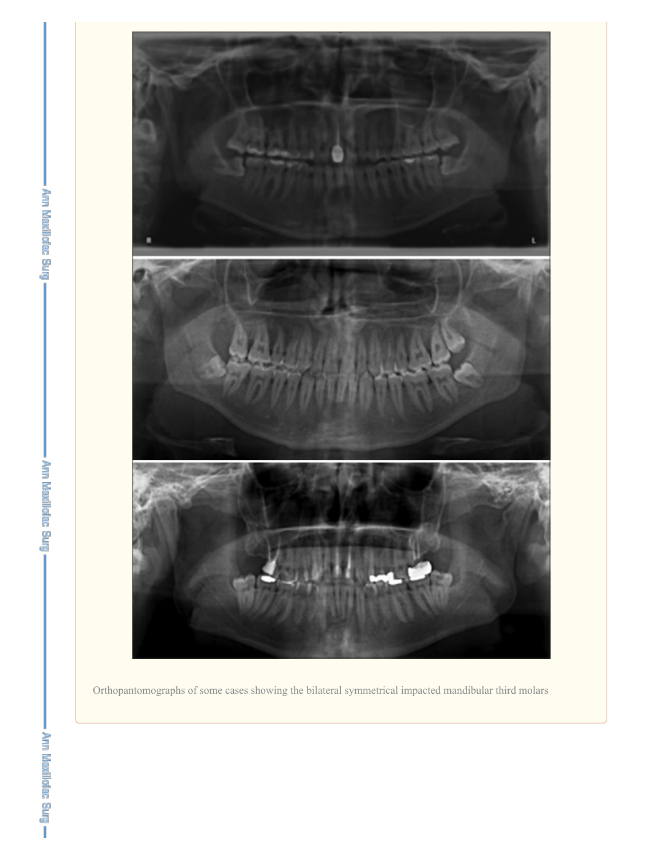

Orthopantomographs of some cases showing the bilateral symmetrical impacted mandibular third molars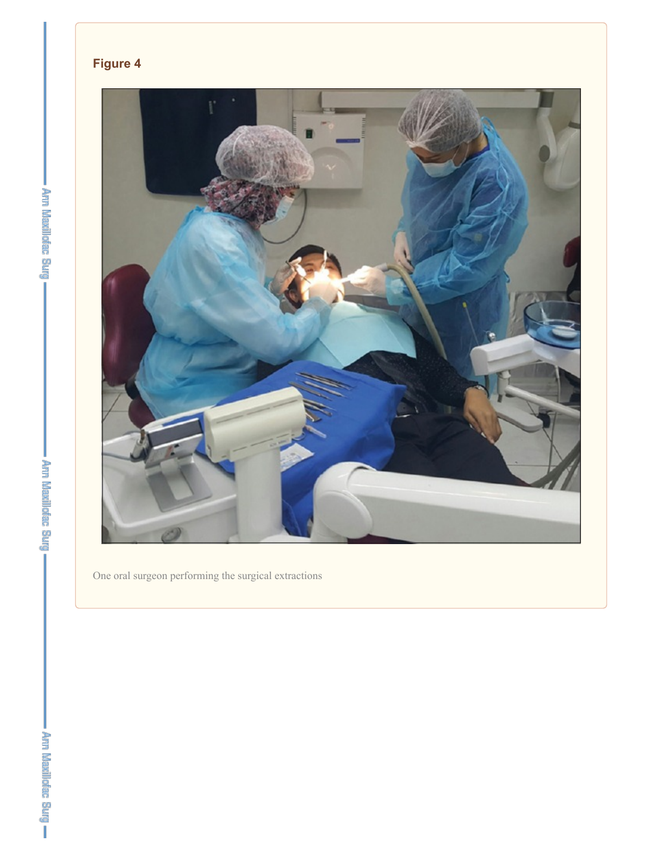



One oral surgeon performing the surgical extractions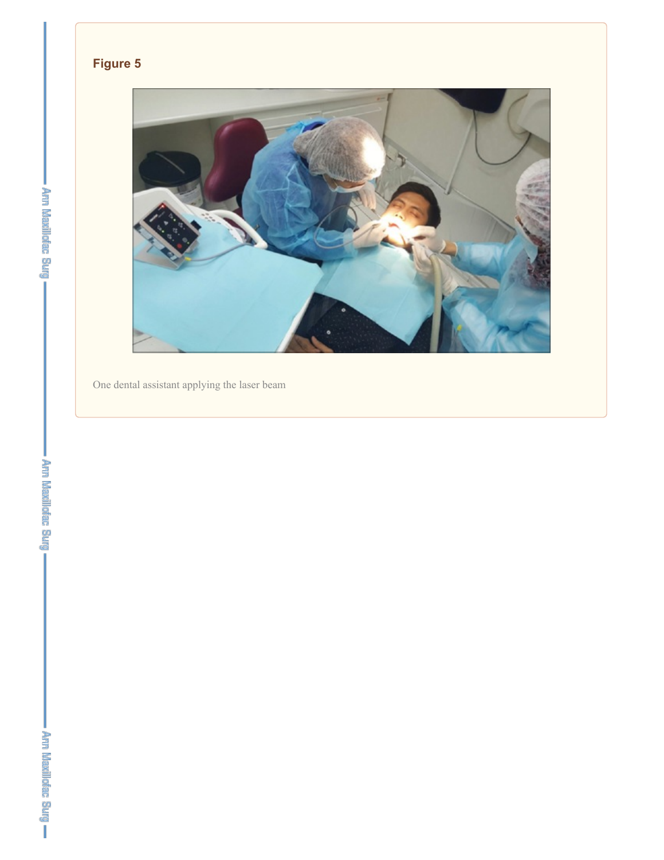## **Figure 5**



One dental assistant applying the laser beam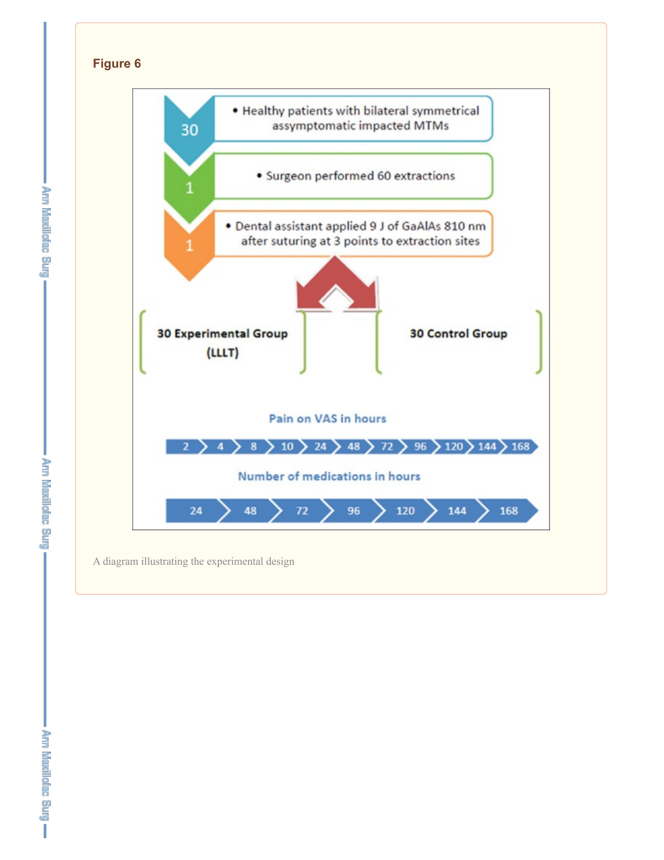

**The Mexileties Blue** 

**Lergi Results Bullet** 

I Pry Kassieran med .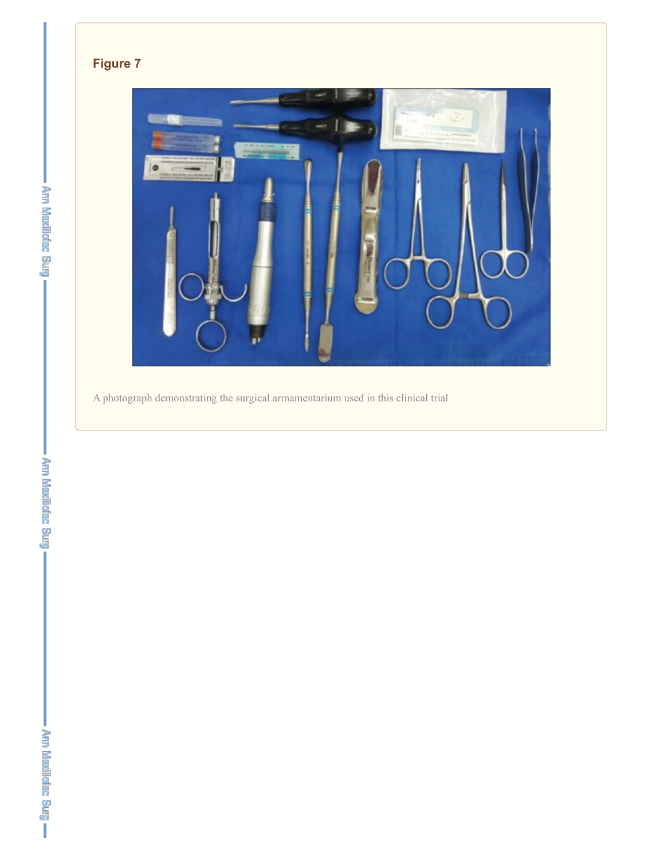## **Figure 7**



A photograph demonstrating the surgical armamentarium used in this clinical trial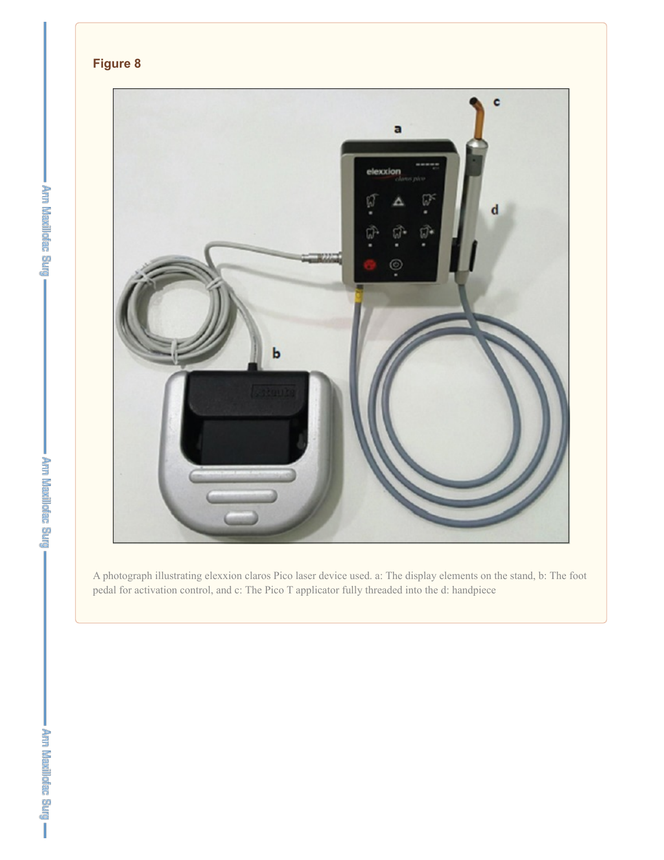

A photograph illustrating elexxion claros Pico laser device used. a: The display elements on the stand, b: The foot pedal for activation control, and c: The Pico T applicator fully threaded into the d: handpiece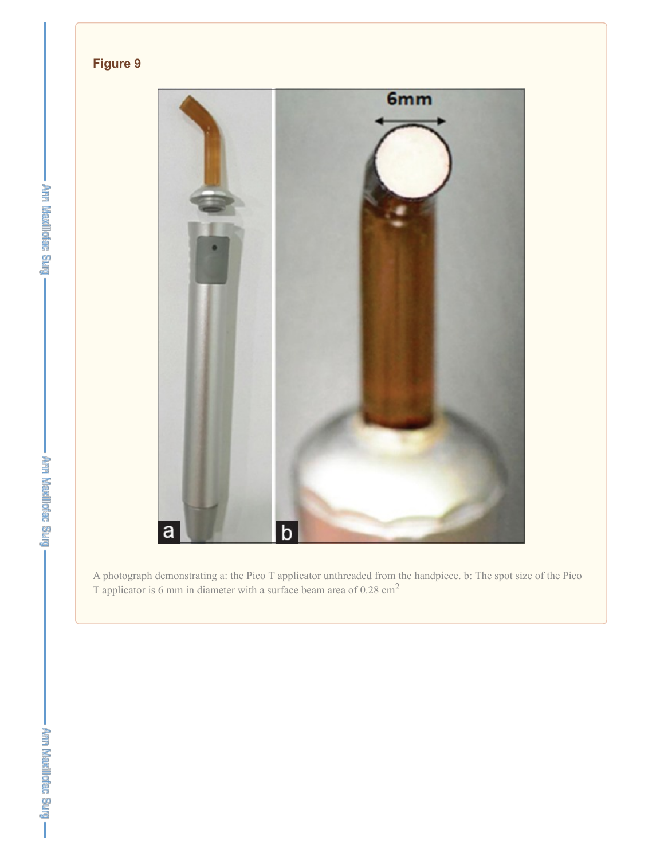## **Figure 9**



A photograph demonstrating a: the Pico T applicator unthreaded from the handpiece. b: The spot size of the Pico T applicator is 6 mm in diameter with a surface beam area of 0.28 cm<sup>2</sup>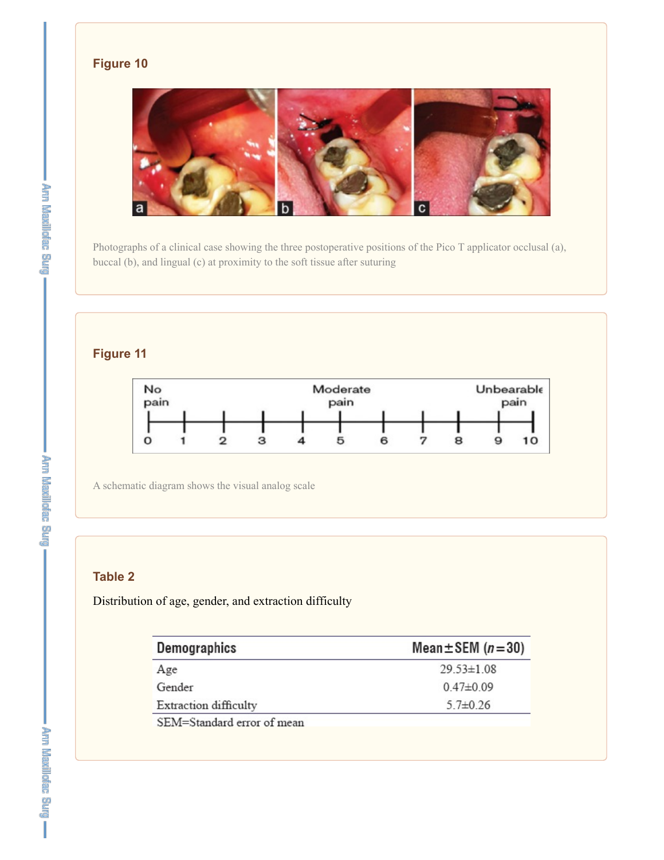## **Figure 10**



Photographs of a clinical case showing the three postoperative positions of the Pico T applicator occlusal (a), buccal (b), and lingual (c) at proximity to the soft tissue after suturing

## **Figure 11**



A schematic diagram shows the visual analog scale

## **Table 2**

Distribution of age, gender, and extraction difficulty

| Demographics               | Mean $\pm$ SEM ( $n = 30$ ) |  |  |
|----------------------------|-----------------------------|--|--|
| Age                        | $29.53 \pm 1.08$            |  |  |
| Gender                     | $0.47\pm0.09$               |  |  |
| Extraction difficulty      | $5.7 \pm 0.26$              |  |  |
| SEM=Standard error of mean |                             |  |  |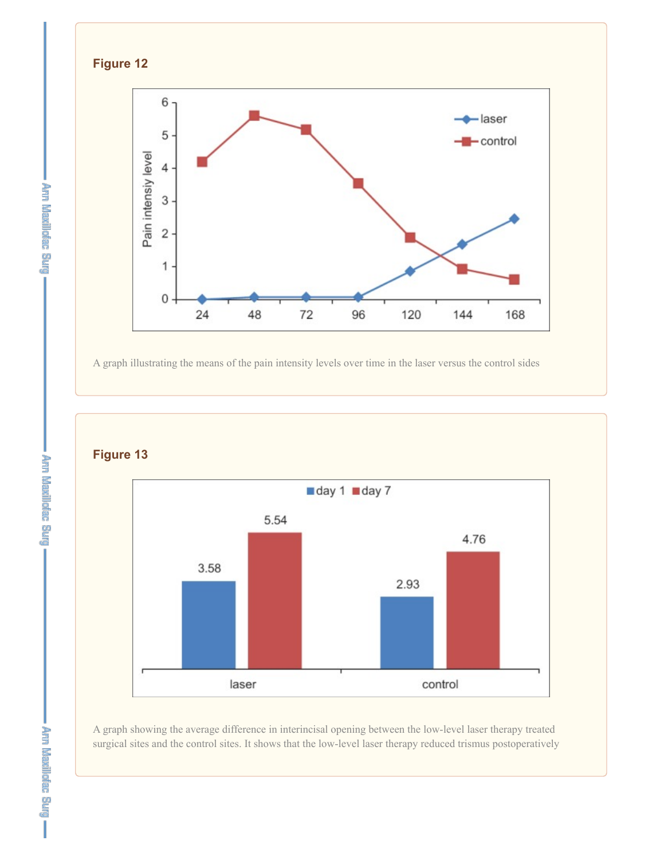

A graph illustrating the means of the pain intensity levels over time in the laser versus the control sides

**Figure 13**



A graph showing the average difference in interincisal opening between the low-level laser therapy treated surgical sites and the control sites. It shows that the low-level laser therapy reduced trismus postoperatively